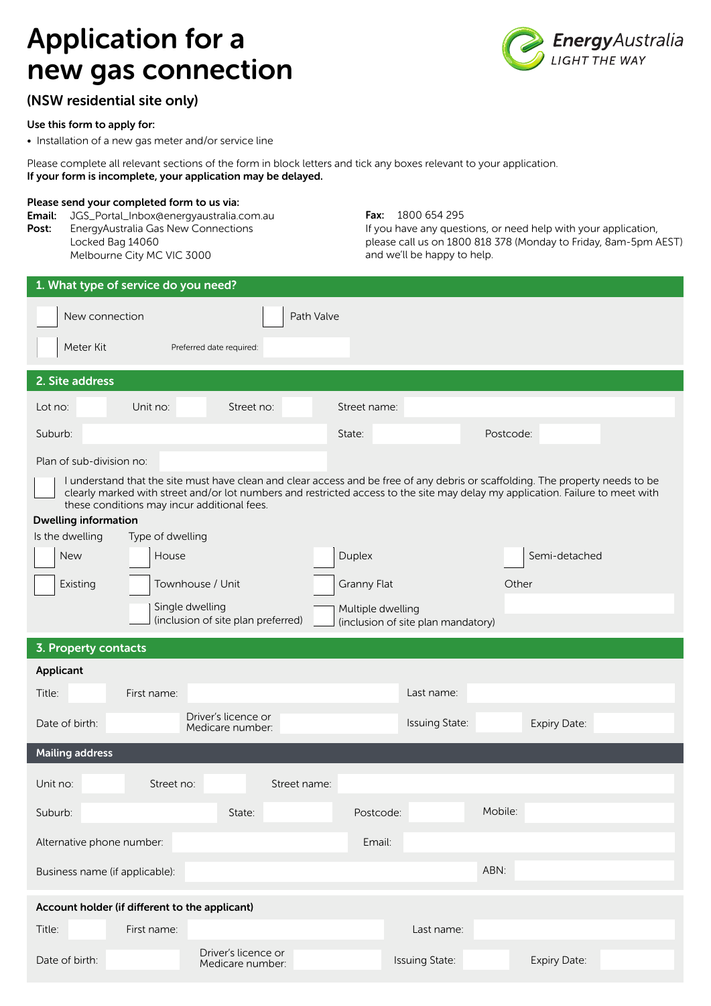# Application for a new gas connection



## (NSW residential site only)

### Use this form to apply for:

• Installation of a new gas meter and/or service line

Please complete all relevant sections of the form in block letters and tick any boxes relevant to your application. If your form is incomplete, your application may be delayed.

#### Please send your completed form to us via:

Email: JGS\_Portal\_Inbox@energyaustralia.com.au Post: EnergyAustralia Gas New Connections Locked Bag 14060 Melbourne City MC VIC 3000

Fax: 1800 654 295

If you have any questions, or need help with your application, please call us on 1800 818 378 (Monday to Friday, 8am-5pm AEST) and we'll be happy to help.

| 1. What type of service do you need?                                                                                                                                                                                                                             |                                             |                                    |               |  |  |  |  |
|------------------------------------------------------------------------------------------------------------------------------------------------------------------------------------------------------------------------------------------------------------------|---------------------------------------------|------------------------------------|---------------|--|--|--|--|
| New connection<br>Path Valve                                                                                                                                                                                                                                     |                                             |                                    |               |  |  |  |  |
| Meter Kit                                                                                                                                                                                                                                                        | Preferred date required:                    |                                    |               |  |  |  |  |
|                                                                                                                                                                                                                                                                  |                                             |                                    |               |  |  |  |  |
| 2. Site address                                                                                                                                                                                                                                                  |                                             |                                    |               |  |  |  |  |
| Unit no:<br>Lot no:                                                                                                                                                                                                                                              | Street no:                                  | Street name:                       |               |  |  |  |  |
| Suburb:                                                                                                                                                                                                                                                          |                                             | State:                             | Postcode:     |  |  |  |  |
| Plan of sub-division no:                                                                                                                                                                                                                                         |                                             |                                    |               |  |  |  |  |
| I understand that the site must have clean and clear access and be free of any debris or scaffolding. The property needs to be<br>clearly marked with street and/or lot numbers and restricted access to the site may delay my application. Failure to meet with |                                             |                                    |               |  |  |  |  |
| <b>Dwelling information</b>                                                                                                                                                                                                                                      | these conditions may incur additional fees. |                                    |               |  |  |  |  |
| Is the dwelling                                                                                                                                                                                                                                                  | Type of dwelling                            |                                    |               |  |  |  |  |
| <b>New</b>                                                                                                                                                                                                                                                       | House                                       | Duplex                             | Semi-detached |  |  |  |  |
| Existing                                                                                                                                                                                                                                                         | Townhouse / Unit                            | Granny Flat                        | Other         |  |  |  |  |
|                                                                                                                                                                                                                                                                  | Single dwelling                             | Multiple dwelling                  |               |  |  |  |  |
|                                                                                                                                                                                                                                                                  | (inclusion of site plan preferred)          | (inclusion of site plan mandatory) |               |  |  |  |  |
| 3. Property contacts                                                                                                                                                                                                                                             |                                             |                                    |               |  |  |  |  |
| Applicant                                                                                                                                                                                                                                                        |                                             |                                    |               |  |  |  |  |
| Title:<br>First name:                                                                                                                                                                                                                                            |                                             | Last name:                         |               |  |  |  |  |
| Date of birth:                                                                                                                                                                                                                                                   | Driver's licence or<br>Medicare number:     | Issuing State:                     | Expiry Date:  |  |  |  |  |
| <b>Mailing address</b>                                                                                                                                                                                                                                           |                                             |                                    |               |  |  |  |  |
| Unit no:                                                                                                                                                                                                                                                         | Street no:<br>Street name:                  |                                    |               |  |  |  |  |
| Suburb:                                                                                                                                                                                                                                                          | State:                                      | Postcode:                          | Mobile:       |  |  |  |  |
| Alternative phone number:<br>Email:                                                                                                                                                                                                                              |                                             |                                    |               |  |  |  |  |
| Business name (if applicable):                                                                                                                                                                                                                                   |                                             |                                    | ABN:          |  |  |  |  |
| Account holder (if different to the applicant)                                                                                                                                                                                                                   |                                             |                                    |               |  |  |  |  |
| Title:<br>First name:                                                                                                                                                                                                                                            |                                             | Last name:                         |               |  |  |  |  |
| Date of birth:                                                                                                                                                                                                                                                   | Driver's licence or<br>Medicare number:     | Issuing State:                     | Expiry Date:  |  |  |  |  |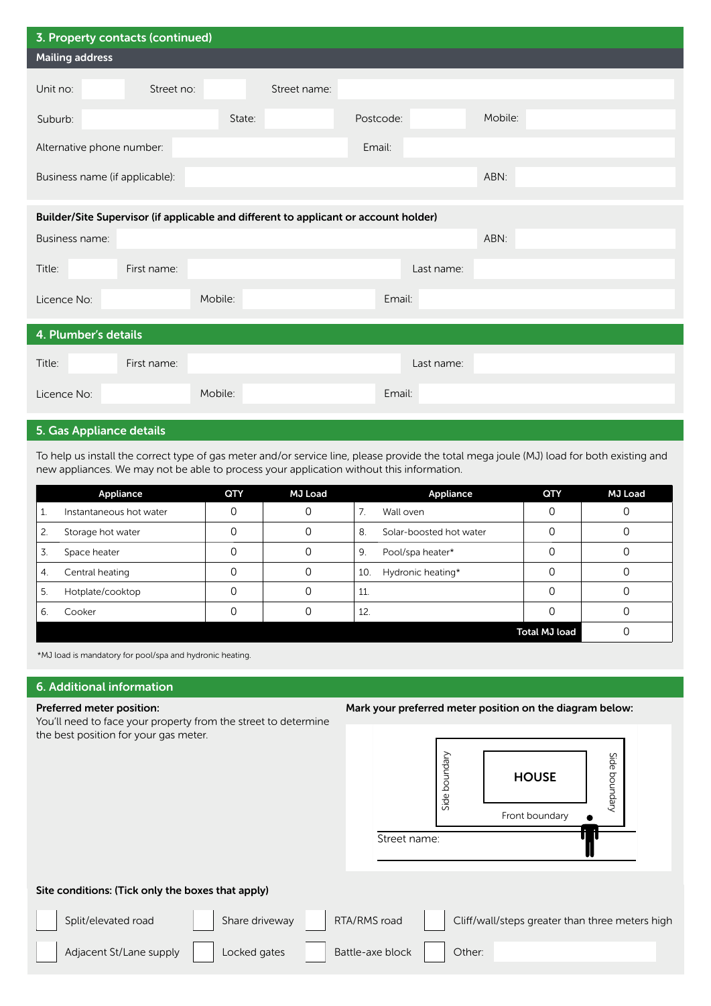| 3. Property contacts (continued)    |                                                                                      |         |              |           |            |         |  |  |
|-------------------------------------|--------------------------------------------------------------------------------------|---------|--------------|-----------|------------|---------|--|--|
| <b>Mailing address</b>              |                                                                                      |         |              |           |            |         |  |  |
| Unit no:                            | Street no:                                                                           |         | Street name: |           |            |         |  |  |
| Suburb:                             |                                                                                      | State:  |              | Postcode: |            | Mobile: |  |  |
| Alternative phone number:<br>Email: |                                                                                      |         |              |           |            |         |  |  |
| Business name (if applicable):      |                                                                                      |         |              |           |            | ABN:    |  |  |
|                                     | Builder/Site Supervisor (if applicable and different to applicant or account holder) |         |              |           |            |         |  |  |
| Business name:                      |                                                                                      |         |              |           |            | ABN:    |  |  |
| Title:                              | First name:                                                                          |         |              |           | Last name: |         |  |  |
| Licence No:                         |                                                                                      | Mobile: |              | Email:    |            |         |  |  |
| 4. Plumber's details                |                                                                                      |         |              |           |            |         |  |  |
| Title:                              | First name:                                                                          |         |              |           | Last name: |         |  |  |
| Licence No:                         |                                                                                      | Mobile: |              | Email:    |            |         |  |  |

## 5. Gas Appliance details

To help us install the correct type of gas meter and/or service line, please provide the total mega joule (MJ) load for both existing and new appliances. We may not be able to process your application without this information.

|                  | Appliance               | QTY | <b>MJ Load</b> | Appliance                     | QTY                  | <b>MJ Load</b> |
|------------------|-------------------------|-----|----------------|-------------------------------|----------------------|----------------|
|                  | Instantaneous hot water |     |                | 7.<br>Wall oven               |                      |                |
| 2.               | Storage hot water       |     |                | Solar-boosted hot water<br>8. |                      |                |
| 3.               | Space heater            |     |                | 9.<br>Pool/spa heater*        |                      |                |
| $\overline{4}$ . | Central heating         |     |                | Hydronic heating*<br>10.      |                      |                |
| -5.              | Hotplate/cooktop        |     |                | 11.                           |                      |                |
| 6                | Cooker                  |     |                | 12.                           |                      |                |
|                  |                         |     |                |                               | <b>Total MJ load</b> |                |

\*MJ load is mandatory for pool/spa and hydronic heating.

## 6. Additional information

#### Preferred meter position:

You'll need to face your property from the street to determine the best position for your gas meter.

#### Mark your preferred meter position on the diagram below:



#### Site conditions: (Tick only the boxes that apply)

Split/elevated road Share driveway RTA/RMS road Cliff/wall/steps greater than three meters high Adjacent St/Lane supply Locked gates Battle-axe block Other: